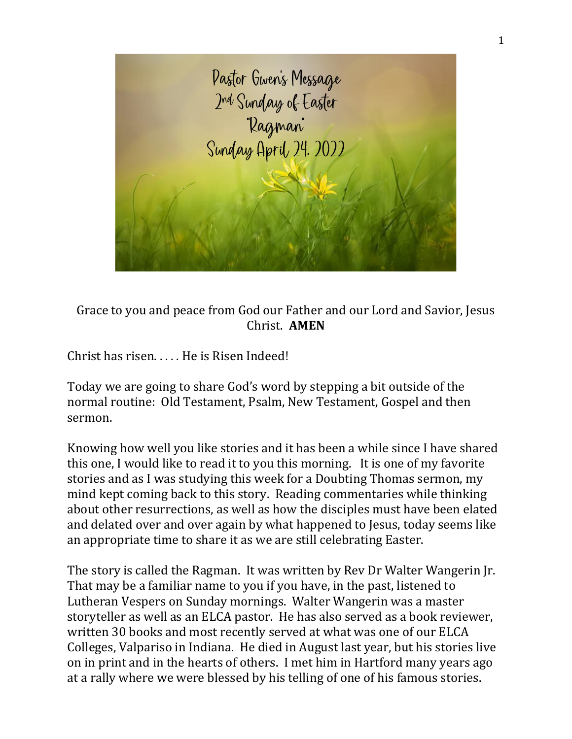

Grace to you and peace from God our Father and our Lord and Savior, Jesus Christ. **AMEN**

Christ has risen. . . . . He is Risen Indeed!

Today we are going to share God's word by stepping a bit outside of the normal routine: Old Testament, Psalm, New Testament, Gospel and then sermon.

Knowing how well you like stories and it has been a while since I have shared this one, I would like to read it to you this morning. It is one of my favorite stories and as I was studying this week for a Doubting Thomas sermon, my mind kept coming back to this story. Reading commentaries while thinking about other resurrections, as well as how the disciples must have been elated and delated over and over again by what happened to Jesus, today seems like an appropriate time to share it as we are still celebrating Easter.

The story is called the Ragman. It was written by Rev Dr Walter Wangerin Jr. That may be a familiar name to you if you have, in the past, listened to Lutheran Vespers on Sunday mornings. Walter Wangerin was a master storyteller as well as an ELCA pastor. He has also served as a book reviewer, written 30 books and most recently served at what was one of our ELCA Colleges, Valpariso in Indiana. He died in August last year, but his stories live on in print and in the hearts of others. I met him in Hartford many years ago at a rally where we were blessed by his telling of one of his famous stories.